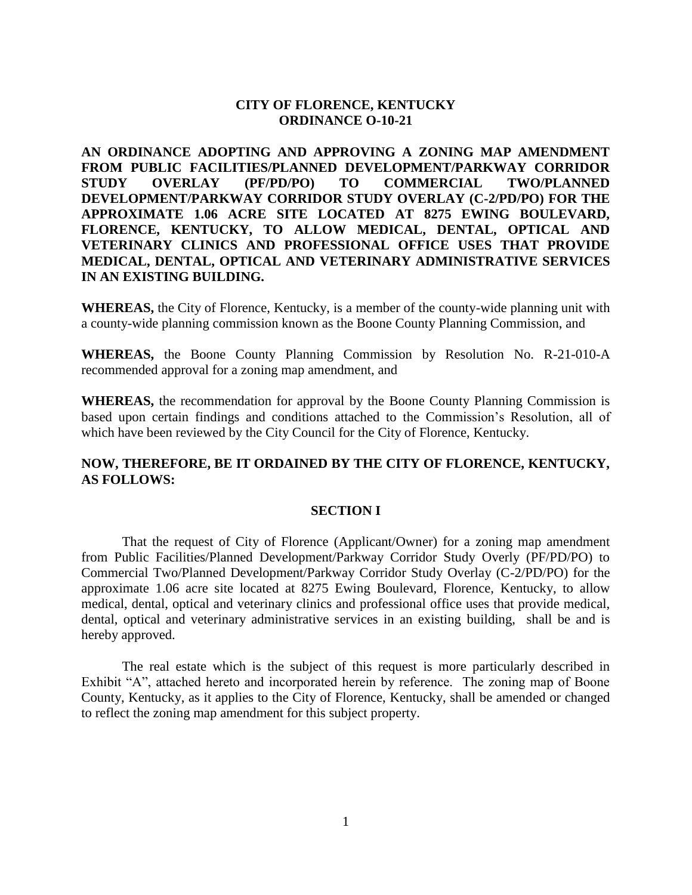# **CITY OF FLORENCE, KENTUCKY ORDINANCE O-10-21**

**AN ORDINANCE ADOPTING AND APPROVING A ZONING MAP AMENDMENT FROM PUBLIC FACILITIES/PLANNED DEVELOPMENT/PARKWAY CORRIDOR STUDY OVERLAY (PF/PD/PO) TO COMMERCIAL TWO/PLANNED DEVELOPMENT/PARKWAY CORRIDOR STUDY OVERLAY (C-2/PD/PO) FOR THE APPROXIMATE 1.06 ACRE SITE LOCATED AT 8275 EWING BOULEVARD, FLORENCE, KENTUCKY, TO ALLOW MEDICAL, DENTAL, OPTICAL AND VETERINARY CLINICS AND PROFESSIONAL OFFICE USES THAT PROVIDE MEDICAL, DENTAL, OPTICAL AND VETERINARY ADMINISTRATIVE SERVICES IN AN EXISTING BUILDING.**

**WHEREAS,** the City of Florence, Kentucky, is a member of the county-wide planning unit with a county-wide planning commission known as the Boone County Planning Commission, and

**WHEREAS,** the Boone County Planning Commission by Resolution No. R-21-010-A recommended approval for a zoning map amendment, and

**WHEREAS,** the recommendation for approval by the Boone County Planning Commission is based upon certain findings and conditions attached to the Commission's Resolution, all of which have been reviewed by the City Council for the City of Florence, Kentucky.

### **NOW, THEREFORE, BE IT ORDAINED BY THE CITY OF FLORENCE, KENTUCKY, AS FOLLOWS:**

#### **SECTION I**

That the request of City of Florence (Applicant/Owner) for a zoning map amendment from Public Facilities/Planned Development/Parkway Corridor Study Overly (PF/PD/PO) to Commercial Two/Planned Development/Parkway Corridor Study Overlay (C-2/PD/PO) for the approximate 1.06 acre site located at 8275 Ewing Boulevard, Florence, Kentucky, to allow medical, dental, optical and veterinary clinics and professional office uses that provide medical, dental, optical and veterinary administrative services in an existing building, shall be and is hereby approved.

The real estate which is the subject of this request is more particularly described in Exhibit "A", attached hereto and incorporated herein by reference. The zoning map of Boone County, Kentucky, as it applies to the City of Florence, Kentucky, shall be amended or changed to reflect the zoning map amendment for this subject property.